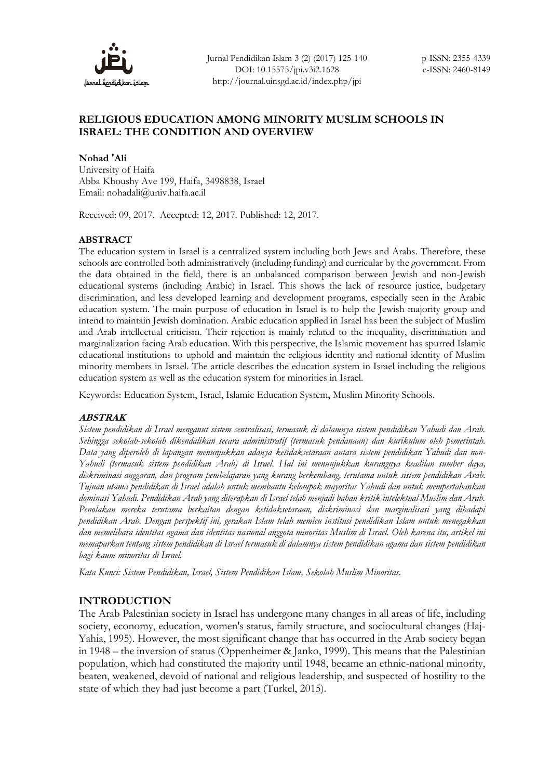

# **RELIGIOUS EDUCATION AMONG MINORITY MUSLIM SCHOOLS IN ISRAEL: THE CONDITION AND OVERVIEW**

**Nohad 'Ali** University of Haifa Abba Khoushy Ave 199, Haifa, 3498838, Israel Email: [nohadali@univ.haifa.ac.il](mailto:NohadAli@univ.haifa.ac.il)

Received: 09, 2017. Accepted: 12, 2017. Published: 12, 2017.

## **ABSTRACT**

The education system in Israel is a centralized system including both Jews and Arabs. Therefore, these schools are controlled both administratively (including funding) and curricular by the government. From the data obtained in the field, there is an unbalanced comparison between Jewish and non-Jewish educational systems (including Arabic) in Israel. This shows the lack of resource justice, budgetary discrimination, and less developed learning and development programs, especially seen in the Arabic education system. The main purpose of education in Israel is to help the Jewish majority group and intend to maintain Jewish domination. Arabic education applied in Israel has been the subject of Muslim and Arab intellectual criticism. Their rejection is mainly related to the inequality, discrimination and marginalization facing Arab education. With this perspective, the Islamic movement has spurred Islamic educational institutions to uphold and maintain the religious identity and national identity of Muslim minority members in Israel. The article describes the education system in Israel including the religious education system as well as the education system for minorities in Israel.

Keywords: Education System, Israel, Islamic Education System, Muslim Minority Schools.

## **ABSTRAK**

*Sistem pendidikan di Israel menganut sistem sentralisasi, termasuk di dalamnya sistem pendidikan Yahudi dan Arab. Sehingga sekolah-sekolah dikendalikan secara administratif (termasuk pendanaan) dan kurikulum oleh pemerintah. Data yang diperoleh di lapangan menunjukkan adanya ketidaksetaraan antara sistem pendidikan Yahudi dan non-Yahudi (termasuk sistem pendidikan Arab) di Israel. Hal ini menunjukkan kurangnya keadilan sumber daya, diskriminasi anggaran, dan program pembelajaran yang kurang berkembang, terutama untuk sistem pendidikan Arab. Tujuan utama pendidikan di Israel adalah untuk membantu kelompok mayoritas Yahudi dan untuk mempertahankan dominasi Yahudi. Pendidikan Arab yang diterapkan di Israel telah menjadi bahan kritik intelektual Muslim dan Arab. Penolakan mereka terutama berkaitan dengan ketidaksetaraan, diskriminasi dan marginalisasi yang dihadapi pendidikan Arab. Dengan perspektif ini, gerakan Islam telah memicu institusi pendidikan Islam untuk menegakkan dan memelihara identitas agama dan identitas nasional anggota minoritas Muslim di Israel. Oleh karena itu, artikel ini memaparkan tentang sistem pendidikan di Israel termasuk di dalamnya sistem pendidikan agama dan sistem pendidikan bagi kaum minoritas di Israel.* 

*Kata Kunci: Sistem Pendidikan, Israel, Sistem Pendidikan Islam, Sekolah Muslim Minoritas.* 

## **INTRODUCTION**

The Arab Palestinian society in Israel has undergone many changes in all areas of life, including society, economy, education, women's status, family structure, and sociocultural changes (Haj-Yahia, 1995). However, the most significant change that has occurred in the Arab society began in 1948 – the inversion of status (Oppenheimer & Janko, 1999). This means that the Palestinian population, which had constituted the majority until 1948, became an ethnic-national minority, beaten, weakened, devoid of national and religious leadership, and suspected of hostility to the state of which they had just become a part (Turkel, 2015).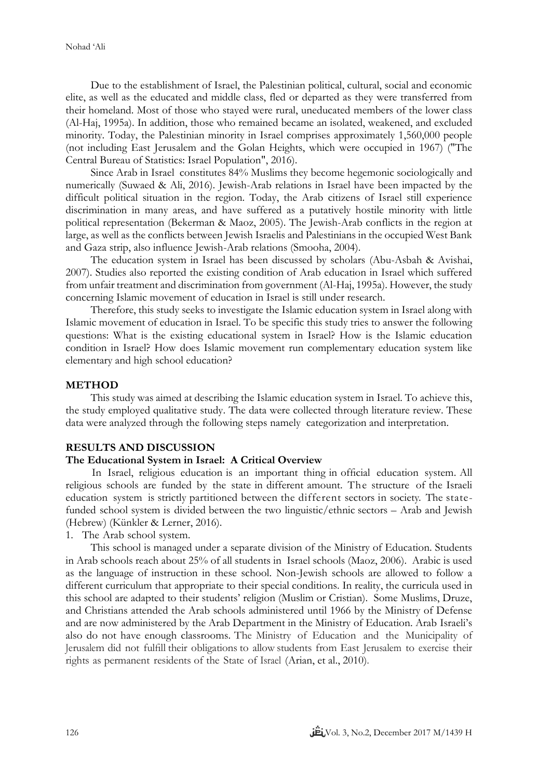Due to the establishment of Israel, the Palestinian political, cultural, social and economic elite, as well as the educated and middle class, fled or departed as they were transferred from their homeland. Most of those who stayed were rural, uneducated members of the lower class (Al-Haj, 1995a). In addition, those who remained became an isolated, weakened, and excluded minority. Today, the Palestinian minority in Israel comprises approximately 1,560,000 people (not including East Jerusalem and the Golan Heights, which were occupied in 1967) ("The Central Bureau of Statistics: Israel Population", 2016).

Since Arab in Israel constitutes 84% Muslims they become hegemonic sociologically and numerically (Suwaed & Ali, 2016). Jewish-Arab relations in Israel have been impacted by the difficult political situation in the region. Today, the Arab citizens of Israel still experience discrimination in many areas, and have suffered as a putatively hostile minority with little political representation (Bekerman & Maoz, 2005). The Jewish-Arab conflicts in the region at large, as well as the conflicts between Jewish Israelis and Palestinians in the occupied West Bank and Gaza strip, also influence Jewish-Arab relations (Smooha, 2004).

The education system in Israel has been discussed by scholars (Abu-Asbah & Avishai, 2007). Studies also reported the existing condition of Arab education in Israel which suffered from unfair treatment and discrimination from government (Al-Haj, 1995a). However, the study concerning Islamic movement of education in Israel is still under research.

Therefore, this study seeks to investigate the Islamic education system in Israel along with Islamic movement of education in Israel. To be specific this study tries to answer the following questions: What is the existing educational system in Israel? How is the Islamic education condition in Israel? How does Islamic movement run complementary education system like elementary and high school education?

#### **METHOD**

This study was aimed at describing the Islamic education system in Israel. To achieve this, the study employed qualitative study. The data were collected through literature review. These data were analyzed through the following steps namely categorization and interpretation.

#### **RESULTS AND DISCUSSION**

## **The Educational System in Israel: A Critical Overview**

In Israel, religious education is an important thing in official education system. All religious schools are funded by the state in different amount. The structure of the Israeli education system is strictly partitioned between the different sectors in society. The statefunded school system is divided between the two linguistic/ethnic sectors – Arab and Jewish (Hebrew) (Künkler & Lerner, 2016).

1. The Arab school system.

This school is managed under a separate division of the Ministry of Education. Students in Arab schools reach about 25% of all students in Israel schools (Maoz, 2006). Arabic is used as the language of instruction in these school. Non-Jewish schools are allowed to follow a different curriculum that appropriate to their special conditions. In reality, the curricula used in this school are adapted to their students' religion (Muslim or Cristian). Some Muslims, Druze, and Christians attended the Arab schools administered until 1966 by the Ministry of Defense and are now administered by the Arab Department in the Ministry of Education. Arab Israeli's also do not have enough classrooms. The Ministry of Education and the Municipality of Jerusalem did not fulfill their obligations to allow students from East Jerusalem to exercise their rights as permanent residents of the State of Israel (Arian, et al., 2010).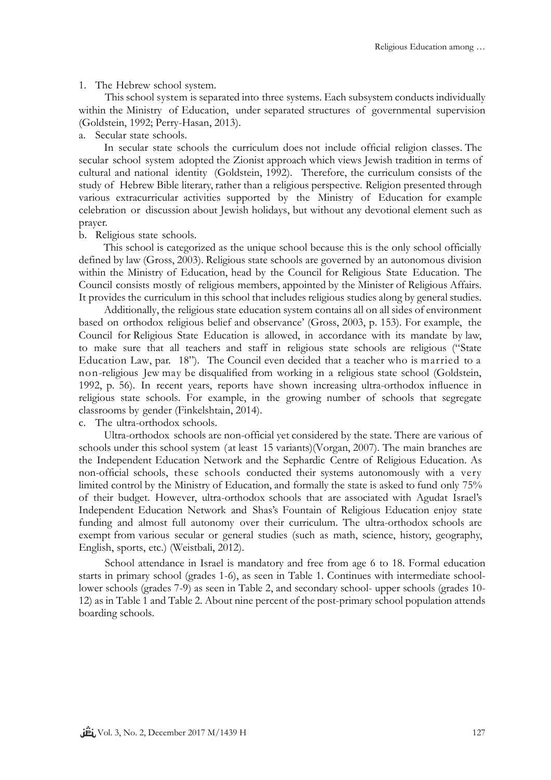### 1. The Hebrew school system.

This school system is separated into three systems. Each subsystem conducts individually within the Ministry of Education, under separated structures of governmental supervision (Goldstein, 1992; Perry-Hasan, 2013).

#### a. Secular state schools.

In secular state schools the curriculum does not include official religion classes. The secular school system adopted the Zionist approach which views Jewish tradition in terms of cultural and national identity (Goldstein, 1992). Therefore, the curriculum consists of the study of Hebrew Bible literary, rather than a religious perspective. Religion presented through various extracurricular activities supported by the Ministry of Education for example celebration or discussion about Jewish holidays, but without any devotional element such as prayer.

#### b. Religious state schools.

This school is categorized as the unique school because this is the only school officially defined by law (Gross, 2003). Religious state schools are governed by an autonomous division within the Ministry of Education, head by the Council for Religious State Education. The Council consists mostly of religious members, appointed by the Minister of Religious Affairs. It provides the curriculum in this school that includes religious studies along by general studies.

Additionally, the religious state education system contains all on all sides of environment based on orthodox religious belief and observance' (Gross, 2003, p. 153). For example, the Council for Religious State Education is allowed, in accordance with its mandate by law, to make sure that all teachers and staff in religious state schools are religious ("State Education Law, par. 18"). The Council even decided that a teacher who is married to a non-religious Jew may be disqualified from working in a religious state school (Goldstein, 1992, p. 56). In recent years, reports have shown increasing ultra-orthodox influence in religious state schools. For example, in the growing number of schools that segregate classrooms by gender (Finkelshtain, 2014).

c. The ultra-orthodox schools.

Ultra-orthodox schools are non-official yet considered by the state. There are various of schools under this school system (at least 15 variants)(Vorgan, 2007). The main branches are the Independent Education Network and the Sephardic Centre of Religious Education. As non-official schools, these schools conducted their systems autonomously with a very limited control by the Ministry of Education, and formally the state is asked to fund only 75% of their budget. However, ultra-orthodox schools that are associated with Agudat Israel's Independent Education Network and Shas's Fountain of Religious Education enjoy state funding and almost full autonomy over their curriculum. The ultra-orthodox schools are exempt from various secular or general studies (such as math, science, history, geography, English, sports, etc.) (Weistbali, 2012).

School attendance in Israel is mandatory and free from age 6 to 18. Formal education starts in primary school (grades 1-6), as seen in Table 1. Continues with intermediate schoollower schools (grades 7-9) as seen in Table 2, and secondary school- upper schools (grades 10- 12) as in Table 1 and Table 2. About nine percent of the post-primary school population attends boarding schools.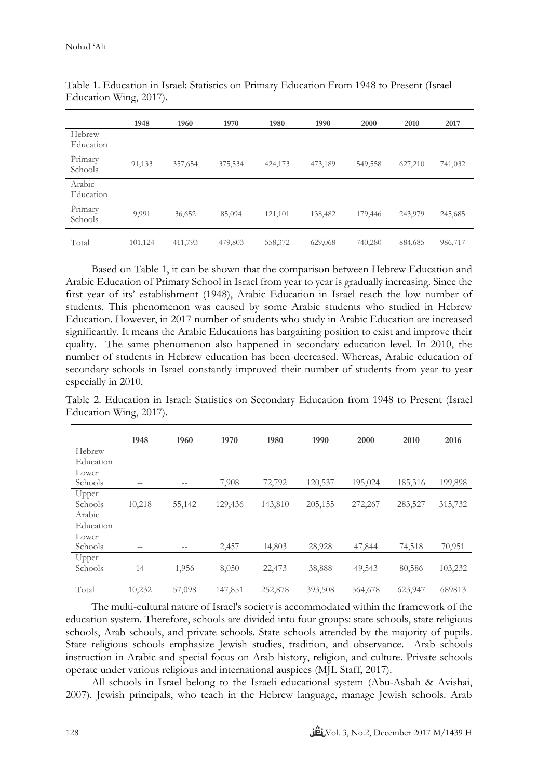|                     | 1948    | 1960    | 1970    | 1980    | 1990    | 2000    | 2010    | 2017    |
|---------------------|---------|---------|---------|---------|---------|---------|---------|---------|
| Hebrew<br>Education |         |         |         |         |         |         |         |         |
| Primary<br>Schools  | 91,133  | 357,654 | 375,534 | 424,173 | 473,189 | 549,558 | 627,210 | 741,032 |
| Arabic<br>Education |         |         |         |         |         |         |         |         |
| Primary<br>Schools  | 9,991   | 36,652  | 85,094  | 121,101 | 138,482 | 179,446 | 243,979 | 245,685 |
| Total               | 101,124 | 411,793 | 479,803 | 558,372 | 629,068 | 740,280 | 884,685 | 986,717 |

Table 1. Education in Israel: Statistics on Primary Education From 1948 to Present (Israel Education Wing, 2017).

Based on Table 1, it can be shown that the comparison between Hebrew Education and Arabic Education of Primary School in Israel from year to year is gradually increasing. Since the first year of its' establishment (1948), Arabic Education in Israel reach the low number of students. This phenomenon was caused by some Arabic students who studied in Hebrew Education. However, in 2017 number of students who study in Arabic Education are increased significantly. It means the Arabic Educations has bargaining position to exist and improve their quality. The same phenomenon also happened in secondary education level. In 2010, the number of students in Hebrew education has been decreased. Whereas, Arabic education of secondary schools in Israel constantly improved their number of students from year to year especially in 2010.

Table 2. Education in Israel: Statistics on Secondary Education from 1948 to Present (Israel Education Wing, 2017).

|           | 1948   | 1960   | 1970    | 1980    | 1990    | 2000    | 2010    | 2016    |
|-----------|--------|--------|---------|---------|---------|---------|---------|---------|
| Hebrew    |        |        |         |         |         |         |         |         |
| Education |        |        |         |         |         |         |         |         |
| Lower     |        |        |         |         |         |         |         |         |
| Schools   | --     | --     | 7,908   | 72,792  | 120,537 | 195,024 | 185,316 | 199,898 |
| Upper     |        |        |         |         |         |         |         |         |
| Schools   | 10,218 | 55,142 | 129,436 | 143,810 | 205,155 | 272,267 | 283,527 | 315,732 |
| Arabic    |        |        |         |         |         |         |         |         |
| Education |        |        |         |         |         |         |         |         |
| Lower     |        |        |         |         |         |         |         |         |
| Schools   | --     | --     | 2,457   | 14,803  | 28,928  | 47,844  | 74,518  | 70,951  |
| Upper     |        |        |         |         |         |         |         |         |
| Schools   | 14     | 1,956  | 8,050   | 22,473  | 38,888  | 49,543  | 80,586  | 103,232 |
|           |        |        |         |         |         |         |         |         |
| Total     | 10,232 | 57,098 | 147,851 | 252,878 | 393,508 | 564,678 | 623,947 | 689813  |

The multi-cultural nature of Israel's society is accommodated within the framework of the education system. Therefore, schools are divided into four groups: state schools, state religious schools, Arab schools, and private schools. State schools attended by the majority of pupils. State religious schools emphasize Jewish studies, tradition, and observance. Arab schools instruction in Arabic and special focus on Arab history, religion, and culture. Private schools operate under various religious and international auspices (MJL Staff, 2017).

All schools in Israel belong to the Israeli educational system (Abu-Asbah & Avishai, 2007). Jewish principals, who teach in the Hebrew language, manage Jewish schools. Arab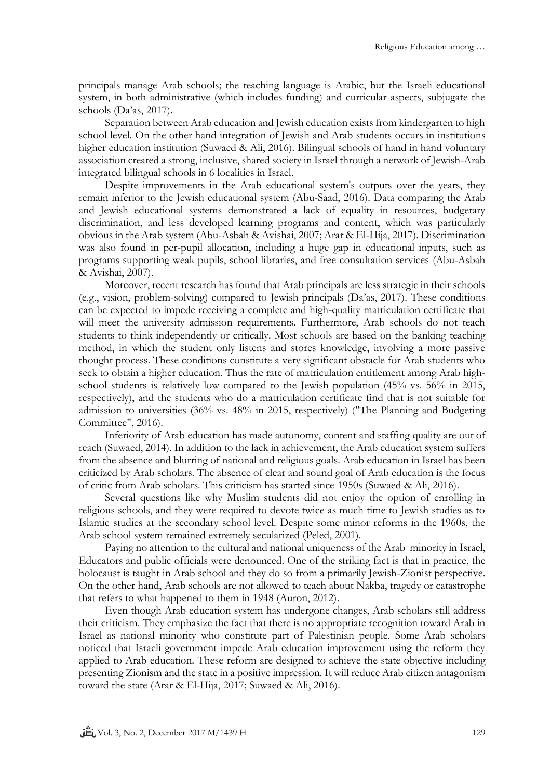principals manage Arab schools; the teaching language is Arabic, but the Israeli educational system, in both administrative (which includes funding) and curricular aspects, subjugate the schools (Da'as, 2017).

Separation between Arab education and Jewish education exists from kindergarten to high school level. On the other hand integration of Jewish and Arab students occurs in institutions higher education institution (Suwaed & Ali, 2016). Bilingual schools of hand in hand voluntary association created a strong, inclusive, shared society in Israel through a network of Jewish-Arab integrated bilingual schools in 6 localities in Israel.

Despite improvements in the Arab educational system's outputs over the years, they remain inferior to the Jewish educational system (Abu-Saad, 2016). Data comparing the Arab and Jewish educational systems demonstrated a lack of equality in resources, budgetary discrimination, and less developed learning programs and content, which was particularly obvious in the Arab system (Abu-Asbah & Avishai, 2007; Arar & El-Hija, 2017). Discrimination was also found in per-pupil allocation, including a huge gap in educational inputs, such as programs supporting weak pupils, school libraries, and free consultation services (Abu-Asbah & Avishai, 2007).

Moreover, recent research has found that Arab principals are less strategic in their schools (e.g., vision, problem-solving) compared to Jewish principals (Da'as, 2017). These conditions can be expected to impede receiving a complete and high-quality matriculation certificate that will meet the university admission requirements. Furthermore, Arab schools do not teach students to think independently or critically. Most schools are based on the banking teaching method, in which the student only listens and stores knowledge, involving a more passive thought process. These conditions constitute a very significant obstacle for Arab students who seek to obtain a higher education. Thus the rate of matriculation entitlement among Arab highschool students is relatively low compared to the Jewish population (45% vs. 56% in 2015, respectively), and the students who do a matriculation certificate find that is not suitable for admission to universities (36% vs. 48% in 2015, respectively) ("The Planning and Budgeting Committee", 2016).

Inferiority of Arab education has made autonomy, content and staffing quality are out of reach (Suwaed, 2014). In addition to the lack in achievement, the Arab education system suffers from the absence and blurring of national and religious goals. Arab education in Israel has been criticized by Arab scholars. The absence of clear and sound goal of Arab education is the focus of critic from Arab scholars. This criticism has started since 1950s (Suwaed & Ali, 2016).

Several questions like why Muslim students did not enjoy the option of enrolling in religious schools, and they were required to devote twice as much time to Jewish studies as to Islamic studies at the secondary school level. Despite some minor reforms in the 1960s, the Arab school system remained extremely secularized (Peled, 2001).

Paying no attention to the cultural and national uniqueness of the Arab minority in Israel, Educators and public officials were denounced. One of the striking fact is that in practice, the holocaust is taught in Arab school and they do so from a primarily Jewish-Zionist perspective. On the other hand, Arab schools are not allowed to teach about Nakba, tragedy or catastrophe that refers to what happened to them in 1948 (Auron, 2012).

Even though Arab education system has undergone changes, Arab scholars still address their criticism. They emphasize the fact that there is no appropriate recognition toward Arab in Israel as national minority who constitute part of Palestinian people. Some Arab scholars noticed that Israeli government impede Arab education improvement using the reform they applied to Arab education. These reform are designed to achieve the state objective including presenting Zionism and the state in a positive impression. It will reduce Arab citizen antagonism toward the state (Arar & El-Hija, 2017; Suwaed & Ali, 2016).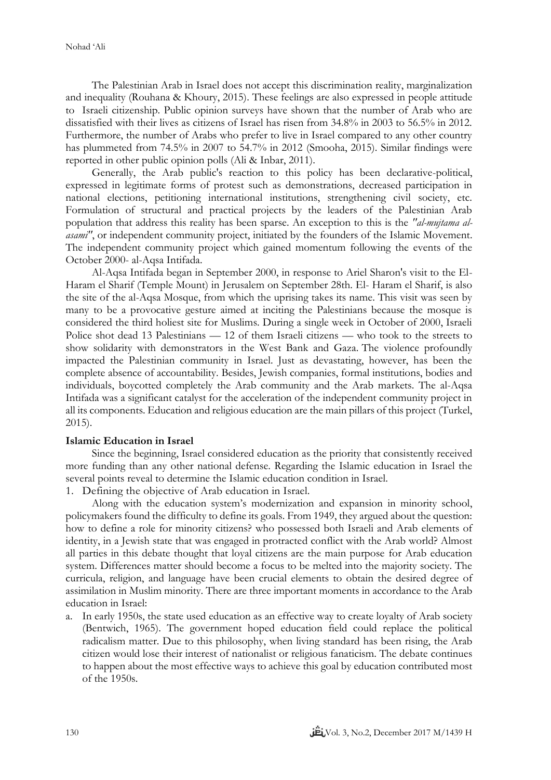The Palestinian Arab in Israel does not accept this discrimination reality, marginalization and inequality (Rouhana & Khoury, 2015). These feelings are also expressed in people attitude to Israeli citizenship. Public opinion surveys have shown that the number of Arab who are dissatisfied with their lives as citizens of Israel has risen from 34.8% in 2003 to 56.5% in 2012. Furthermore, the number of Arabs who prefer to live in Israel compared to any other country has plummeted from 74.5% in 2007 to 54.7% in 2012 (Smooha, 2015). Similar findings were reported in other public opinion polls (Ali & Inbar, 2011).

Generally, the Arab public's reaction to this policy has been declarative-political, expressed in legitimate forms of protest such as demonstrations, decreased participation in national elections, petitioning international institutions, strengthening civil society, etc. Formulation of structural and practical projects by the leaders of the Palestinian Arab population that address this reality has been sparse. An exception to this is the *"al-mujtama alasami"*, or independent community project, initiated by the founders of the Islamic Movement. The independent community project which gained momentum following the events of the October 2000- al-Aqsa Intifada.

Al-Aqsa Intifada began in September 2000, in response to Ariel Sharon's visit to the El-Haram el Sharif (Temple Mount) in Jerusalem on September 28th. El- Haram el Sharif, is also the site of the al-Aqsa Mosque, from which the uprising takes its name. This visit was seen by many to be a provocative gesture aimed at inciting the Palestinians because the mosque is considered the third holiest site for Muslims. During a single week in October of 2000, Israeli Police shot dead 13 Palestinians — 12 of them Israeli citizens — who took to the streets to show solidarity with demonstrators in the West Bank and Gaza. The violence profoundly impacted the Palestinian community in Israel. Just as devastating, however, has been the complete absence of accountability. Besides, Jewish companies, formal institutions, bodies and individuals, boycotted completely the Arab community and the Arab markets. The al-Aqsa Intifada was a significant catalyst for the acceleration of the independent community project in all its components. Education and religious education are the main pillars of this project (Turkel, 2015).

#### **Islamic Education in Israel**

Since the beginning, Israel considered education as the priority that consistently received more funding than any other national defense. Regarding the Islamic education in Israel the several points reveal to determine the Islamic education condition in Israel.

1. Defining the objective of Arab education in Israel.

Along with the education system's modernization and expansion in minority school, policymakers found the difficulty to define its goals. From 1949, they argued about the question: how to define a role for minority citizens? who possessed both Israeli and Arab elements of identity, in a Jewish state that was engaged in protracted conflict with the Arab world? Almost all parties in this debate thought that loyal citizens are the main purpose for Arab education system. Differences matter should become a focus to be melted into the majority society. The curricula, religion, and language have been crucial elements to obtain the desired degree of assimilation in Muslim minority. There are three important moments in accordance to the Arab education in Israel:

a. In early 1950s, the state used education as an effective way to create loyalty of Arab society (Bentwich, 1965). The government hoped education field could replace the political radicalism matter. Due to this philosophy, when living standard has been rising, the Arab citizen would lose their interest of nationalist or religious fanaticism. The debate continues to happen about the most effective ways to achieve this goal by education contributed most of the 1950s.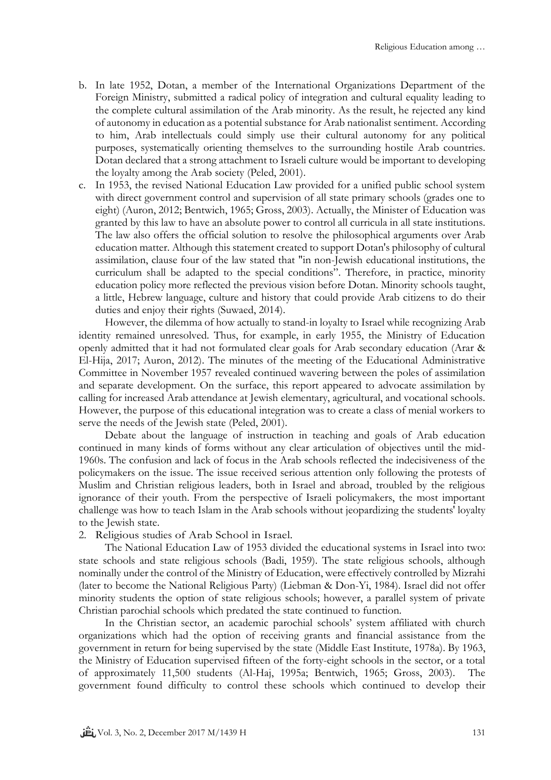- b. In late 1952, Dotan, a member of the International Organizations Department of the Foreign Ministry, submitted a radical policy of integration and cultural equality leading to the complete cultural assimilation of the Arab minority. As the result, he rejected any kind of autonomy in education as a potential substance for Arab nationalist sentiment. According to him, Arab intellectuals could simply use their cultural autonomy for any political purposes, systematically orienting themselves to the surrounding hostile Arab countries. Dotan declared that a strong attachment to Israeli culture would be important to developing the loyalty among the Arab society (Peled, 2001).
- c. In 1953, the revised National Education Law provided for a unified public school system with direct government control and supervision of all state primary schools (grades one to eight) (Auron, 2012; Bentwich, 1965; Gross, 2003). Actually, the Minister of Education was granted by this law to have an absolute power to control all curricula in all state institutions. The law also offers the official solution to resolve the philosophical arguments over Arab education matter. Although this statement created to support Dotan's philosophy of cultural assimilation, clause four of the law stated that "in non-Jewish educational institutions, the curriculum shall be adapted to the special conditions". Therefore, in practice, minority education policy more reflected the previous vision before Dotan. Minority schools taught, a little, Hebrew language, culture and history that could provide Arab citizens to do their duties and enjoy their rights (Suwaed, 2014).

However, the dilemma of how actually to stand-in loyalty to Israel while recognizing Arab identity remained unresolved. Thus, for example, in early 1955, the Ministry of Education openly admitted that it had not formulated clear goals for Arab secondary education (Arar & El-Hija, 2017; Auron, 2012). The minutes of the meeting of the Educational Administrative Committee in November 1957 revealed continued wavering between the poles of assimilation and separate development. On the surface, this report appeared to advocate assimilation by calling for increased Arab attendance at Jewish elementary, agricultural, and vocational schools. However, the purpose of this educational integration was to create a class of menial workers to serve the needs of the Jewish state (Peled, 2001).

Debate about the language of instruction in teaching and goals of Arab education continued in many kinds of forms without any clear articulation of objectives until the mid-1960s. The confusion and lack of focus in the Arab schools reflected the indecisiveness of the policymakers on the issue. The issue received serious attention only following the protests of Muslim and Christian religious leaders, both in Israel and abroad, troubled by the religious ignorance of their youth. From the perspective of Israeli policymakers, the most important challenge was how to teach Islam in the Arab schools without jeopardizing the students' loyalty to the Jewish state.

2. Religious studies of Arab School in Israel.

The National Education Law of 1953 divided the educational systems in Israel into two: state schools and state religious schools (Badi, 1959). The state religious schools, although nominally under the control of the Ministry of Education, were effectively controlled by Mizrahi (later to become the National Religious Party) (Liebman & Don-Yi, 1984). Israel did not offer minority students the option of state religious schools; however, a parallel system of private Christian parochial schools which predated the state continued to function.

In the Christian sector, an academic parochial schools' system affiliated with church organizations which had the option of receiving grants and financial assistance from the government in return for being supervised by the state (Middle East Institute, 1978a). By 1963, the Ministry of Education supervised fifteen of the forty-eight schools in the sector, or a total of approximately 11,500 students (Al-Haj, 1995a; Bentwich, 1965; Gross, 2003). The government found difficulty to control these schools which continued to develop their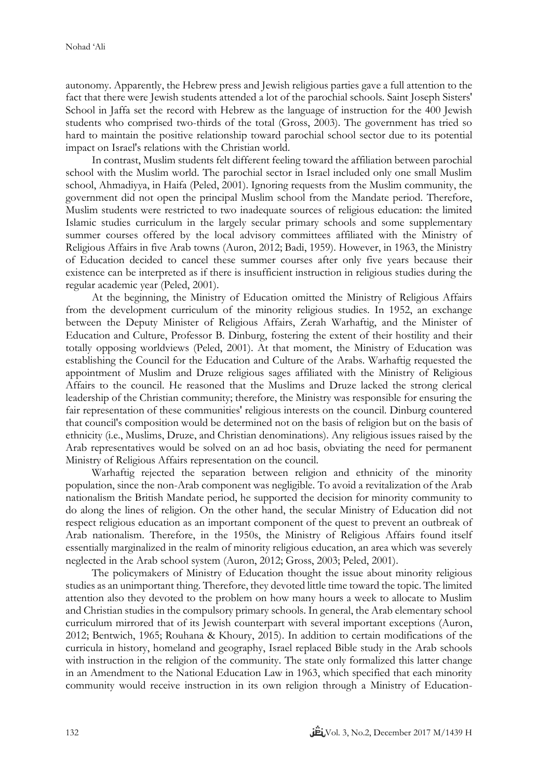autonomy. Apparently, the Hebrew press and Jewish religious parties gave a full attention to the fact that there were Jewish students attended a lot of the parochial schools. Saint Joseph Sisters' School in Jaffa set the record with Hebrew as the language of instruction for the 400 Jewish students who comprised two-thirds of the total (Gross, 2003). The government has tried so hard to maintain the positive relationship toward parochial school sector due to its potential impact on Israel's relations with the Christian world.

In contrast, Muslim students felt different feeling toward the affiliation between parochial school with the Muslim world. The parochial sector in Israel included only one small Muslim school, Ahmadiyya, in Haifa (Peled, 2001). Ignoring requests from the Muslim community, the government did not open the principal Muslim school from the Mandate period. Therefore, Muslim students were restricted to two inadequate sources of religious education: the limited Islamic studies curriculum in the largely secular primary schools and some supplementary summer courses offered by the local advisory committees affiliated with the Ministry of Religious Affairs in five Arab towns (Auron, 2012; Badi, 1959). However, in 1963, the Ministry of Education decided to cancel these summer courses after only five years because their existence can be interpreted as if there is insufficient instruction in religious studies during the regular academic year (Peled, 2001).

At the beginning, the Ministry of Education omitted the Ministry of Religious Affairs from the development curriculum of the minority religious studies. In 1952, an exchange between the Deputy Minister of Religious Affairs, Zerah Warhaftig, and the Minister of Education and Culture, Professor B. Dinburg, fostering the extent of their hostility and their totally opposing worldviews (Peled, 2001). At that moment, the Ministry of Education was establishing the Council for the Education and Culture of the Arabs. Warhaftig requested the appointment of Muslim and Druze religious sages affiliated with the Ministry of Religious Affairs to the council. He reasoned that the Muslims and Druze lacked the strong clerical leadership of the Christian community; therefore, the Ministry was responsible for ensuring the fair representation of these communities' religious interests on the council. Dinburg countered that council's composition would be determined not on the basis of religion but on the basis of ethnicity (i.e., Muslims, Druze, and Christian denominations). Any religious issues raised by the Arab representatives would be solved on an ad hoc basis, obviating the need for permanent Ministry of Religious Affairs representation on the council.

Warhaftig rejected the separation between religion and ethnicity of the minority population, since the non-Arab component was negligible. To avoid a revitalization of the Arab nationalism the British Mandate period, he supported the decision for minority community to do along the lines of religion. On the other hand, the secular Ministry of Education did not respect religious education as an important component of the quest to prevent an outbreak of Arab nationalism. Therefore, in the 1950s, the Ministry of Religious Affairs found itself essentially marginalized in the realm of minority religious education, an area which was severely neglected in the Arab school system (Auron, 2012; Gross, 2003; Peled, 2001).

The policymakers of Ministry of Education thought the issue about minority religious studies as an unimportant thing. Therefore, they devoted little time toward the topic. The limited attention also they devoted to the problem on how many hours a week to allocate to Muslim and Christian studies in the compulsory primary schools. In general, the Arab elementary school curriculum mirrored that of its Jewish counterpart with several important exceptions (Auron, 2012; Bentwich, 1965; Rouhana & Khoury, 2015). In addition to certain modifications of the curricula in history, homeland and geography, Israel replaced Bible study in the Arab schools with instruction in the religion of the community. The state only formalized this latter change in an Amendment to the National Education Law in 1963, which specified that each minority community would receive instruction in its own religion through a Ministry of Education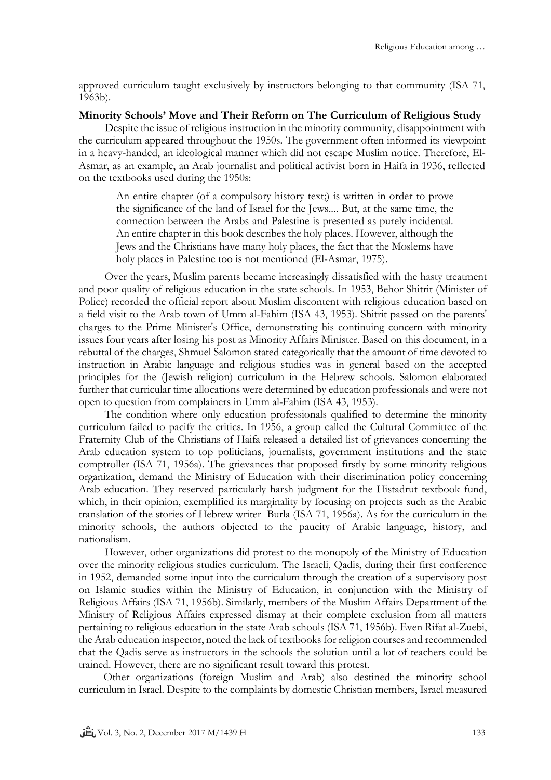approved curriculum taught exclusively by instructors belonging to that community (ISA 71, 1963b).

#### **Minority Schools' Move and Their Reform on The Curriculum of Religious Study**

Despite the issue of religious instruction in the minority community, disappointment with the curriculum appeared throughout the 1950s. The government often informed its viewpoint in a heavy-handed, an ideological manner which did not escape Muslim notice. Therefore, El-Asmar, as an example, an Arab journalist and political activist born in Haifa in 1936, reflected on the textbooks used during the 1950s:

An entire chapter (of a compulsory history text;) is written in order to prove the significance of the land of Israel for the Jews.... But, at the same time, the connection between the Arabs and Palestine is presented as purely incidental. An entire chapter in this book describes the holy places. However, although the Jews and the Christians have many holy places, the fact that the Moslems have holy places in Palestine too is not mentioned (El-Asmar, 1975).

Over the years, Muslim parents became increasingly dissatisfied with the hasty treatment and poor quality of religious education in the state schools. In 1953, Behor Shitrit (Minister of Police) recorded the official report about Muslim discontent with religious education based on a field visit to the Arab town of Umm al-Fahim (ISA 43, 1953). Shitrit passed on the parents' charges to the Prime Minister's Office, demonstrating his continuing concern with minority issues four years after losing his post as Minority Affairs Minister. Based on this document, in a rebuttal of the charges, Shmuel Salomon stated categorically that the amount of time devoted to instruction in Arabic language and religious studies was in general based on the accepted principles for the (Jewish religion) curriculum in the Hebrew schools. Salomon elaborated further that curricular time allocations were determined by education professionals and were not open to question from complainers in Umm al-Fahim (ISA 43, 1953).

The condition where only education professionals qualified to determine the minority curriculum failed to pacify the critics. In 1956, a group called the Cultural Committee of the Fraternity Club of the Christians of Haifa released a detailed list of grievances concerning the Arab education system to top politicians, journalists, government institutions and the state comptroller (ISA 71, 1956a). The grievances that proposed firstly by some minority religious organization, demand the Ministry of Education with their discrimination policy concerning Arab education. They reserved particularly harsh judgment for the Histadrut textbook fund, which, in their opinion, exemplified its marginality by focusing on projects such as the Arabic translation of the stories of Hebrew writer Burla (ISA 71, 1956a). As for the curriculum in the minority schools, the authors objected to the paucity of Arabic language, history, and nationalism.

However, other organizations did protest to the monopoly of the Ministry of Education over the minority religious studies curriculum. The Israeli, Qadis, during their first conference in 1952, demanded some input into the curriculum through the creation of a supervisory post on Islamic studies within the Ministry of Education, in conjunction with the Ministry of Religious Affairs (ISA 71, 1956b). Similarly, members of the Muslim Affairs Department of the Ministry of Religious Affairs expressed dismay at their complete exclusion from all matters pertaining to religious education in the state Arab schools (ISA 71, 1956b). Even Rifat al-Zuebi, the Arab education inspector, noted the lack of textbooks for religion courses and recommended that the Qadis serve as instructors in the schools the solution until a lot of teachers could be trained. However, there are no significant result toward this protest.

Other organizations (foreign Muslim and Arab) also destined the minority school curriculum in Israel. Despite to the complaints by domestic Christian members, Israel measured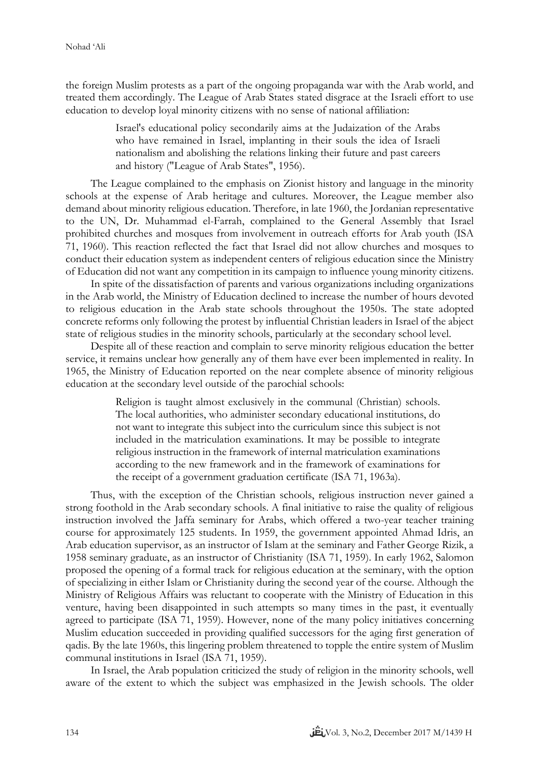the foreign Muslim protests as a part of the ongoing propaganda war with the Arab world, and treated them accordingly. The League of Arab States stated disgrace at the Israeli effort to use education to develop loyal minority citizens with no sense of national affiliation:

> Israel's educational policy secondarily aims at the Judaization of the Arabs who have remained in Israel, implanting in their souls the idea of Israeli nationalism and abolishing the relations linking their future and past careers and history ("League of Arab States", 1956).

The League complained to the emphasis on Zionist history and language in the minority schools at the expense of Arab heritage and cultures. Moreover, the League member also demand about minority religious education. Therefore, in late 1960, the Jordanian representative to the UN, Dr. Muhammad el-Farrah, complained to the General Assembly that Israel prohibited churches and mosques from involvement in outreach efforts for Arab youth (ISA 71, 1960). This reaction reflected the fact that Israel did not allow churches and mosques to conduct their education system as independent centers of religious education since the Ministry of Education did not want any competition in its campaign to influence young minority citizens.

In spite of the dissatisfaction of parents and various organizations including organizations in the Arab world, the Ministry of Education declined to increase the number of hours devoted to religious education in the Arab state schools throughout the 1950s. The state adopted concrete reforms only following the protest by influential Christian leaders in Israel of the abject state of religious studies in the minority schools, particularly at the secondary school level.

Despite all of these reaction and complain to serve minority religious education the better service, it remains unclear how generally any of them have ever been implemented in reality. In 1965, the Ministry of Education reported on the near complete absence of minority religious education at the secondary level outside of the parochial schools:

> Religion is taught almost exclusively in the communal (Christian) schools. The local authorities, who administer secondary educational institutions, do not want to integrate this subject into the curriculum since this subject is not included in the matriculation examinations. It may be possible to integrate religious instruction in the framework of internal matriculation examinations according to the new framework and in the framework of examinations for the receipt of a government graduation certificate (ISA 71, 1963a).

Thus, with the exception of the Christian schools, religious instruction never gained a strong foothold in the Arab secondary schools. A final initiative to raise the quality of religious instruction involved the Jaffa seminary for Arabs, which offered a two-year teacher training course for approximately 125 students. In 1959, the government appointed Ahmad Idris, an Arab education supervisor, as an instructor of Islam at the seminary and Father George Rizik, a 1958 seminary graduate, as an instructor of Christianity (ISA 71, 1959). In early 1962, Salomon proposed the opening of a formal track for religious education at the seminary, with the option of specializing in either Islam or Christianity during the second year of the course. Although the Ministry of Religious Affairs was reluctant to cooperate with the Ministry of Education in this venture, having been disappointed in such attempts so many times in the past, it eventually agreed to participate (ISA 71, 1959). However, none of the many policy initiatives concerning Muslim education succeeded in providing qualified successors for the aging first generation of qadis. By the late 1960s, this lingering problem threatened to topple the entire system of Muslim communal institutions in Israel (ISA 71, 1959).

In Israel, the Arab population criticized the study of religion in the minority schools, well aware of the extent to which the subject was emphasized in the Jewish schools. The older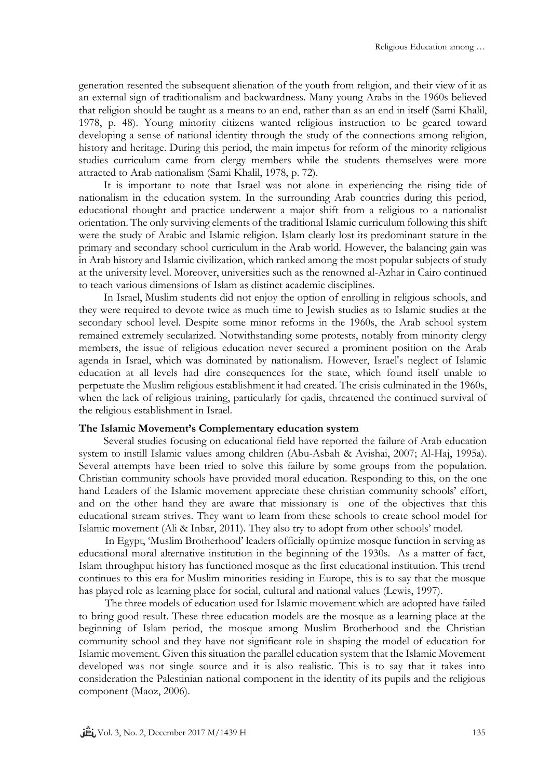generation resented the subsequent alienation of the youth from religion, and their view of it as an external sign of traditionalism and backwardness. Many young Arabs in the 1960s believed that religion should be taught as a means to an end, rather than as an end in itself (Sami Khalil, 1978, p. 48). Young minority citizens wanted religious instruction to be geared toward developing a sense of national identity through the study of the connections among religion, history and heritage. During this period, the main impetus for reform of the minority religious studies curriculum came from clergy members while the students themselves were more attracted to Arab nationalism (Sami Khalil, 1978, p. 72).

It is important to note that Israel was not alone in experiencing the rising tide of nationalism in the education system. In the surrounding Arab countries during this period, educational thought and practice underwent a major shift from a religious to a nationalist orientation. The only surviving elements of the traditional Islamic curriculum following this shift were the study of Arabic and Islamic religion. Islam clearly lost its predominant stature in the primary and secondary school curriculum in the Arab world. However, the balancing gain was in Arab history and Islamic civilization, which ranked among the most popular subjects of study at the university level. Moreover, universities such as the renowned al-Azhar in Cairo continued to teach various dimensions of Islam as distinct academic disciplines.

In Israel, Muslim students did not enjoy the option of enrolling in religious schools, and they were required to devote twice as much time to Jewish studies as to Islamic studies at the secondary school level. Despite some minor reforms in the 1960s, the Arab school system remained extremely secularized. Notwithstanding some protests, notably from minority clergy members, the issue of religious education never secured a prominent position on the Arab agenda in Israel, which was dominated by nationalism. However, Israel's neglect of Islamic education at all levels had dire consequences for the state, which found itself unable to perpetuate the Muslim religious establishment it had created. The crisis culminated in the 1960s, when the lack of religious training, particularly for qadis, threatened the continued survival of the religious establishment in Israel.

## **The Islamic Movement's Complementary education system**

Several studies focusing on educational field have reported the failure of Arab education system to instill Islamic values among children (Abu-Asbah & Avishai, 2007; Al-Haj, 1995a). Several attempts have been tried to solve this failure by some groups from the population. Christian community schools have provided moral education. Responding to this, on the one hand Leaders of the Islamic movement appreciate these christian community schools' effort, and on the other hand they are aware that missionary is one of the objectives that this educational stream strives. They want to learn from these schools to create school model for Islamic movement (Ali & Inbar, 2011). They also try to adopt from other schools' model.

In Egypt, 'Muslim Brotherhood' leaders officially optimize mosque function in serving as educational moral alternative institution in the beginning of the 1930s. As a matter of fact, Islam throughput history has functioned mosque as the first educational institution. This trend continues to this era for Muslim minorities residing in Europe, this is to say that the mosque has played role as learning place for social, cultural and national values (Lewis, 1997).

The three models of education used for Islamic movement which are adopted have failed to bring good result. These three education models are the mosque as a learning place at the beginning of Islam period, the mosque among Muslim Brotherhood and the Christian community school and they have not significant role in shaping the model of education for Islamic movement. Given this situation the parallel education system that the Islamic Movement developed was not single source and it is also realistic. This is to say that it takes into consideration the Palestinian national component in the identity of its pupils and the religious component (Maoz, 2006).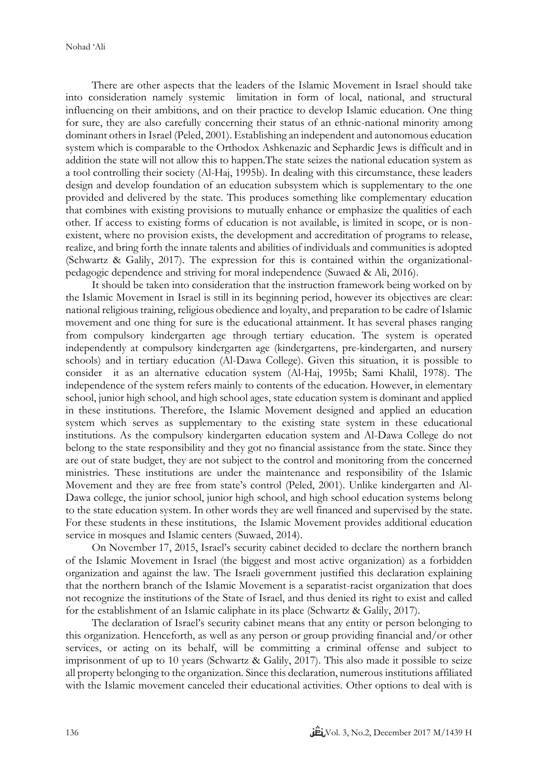There are other aspects that the leaders of the Islamic Movement in Israel should take into consideration namely systemic limitation in form of local, national, and structural influencing on their ambitions, and on their practice to develop Islamic education. One thing for sure, they are also carefully concerning their status of an ethnic-national minority among dominant others in Israel (Peled, 2001). Establishing an independent and autonomous education system which is comparable to the Orthodox Ashkenazic and Sephardic Jews is difficult and in addition the state will not allow this to happen.The state seizes the national education system as a tool controlling their society (Al-Haj, 1995b). In dealing with this circumstance, these leaders design and develop foundation of an education subsystem which is supplementary to the one provided and delivered by the state. This produces something like complementary education that combines with existing provisions to mutually enhance or emphasize the qualities of each other. If access to existing forms of education is not available, is limited in scope, or is nonexistent, where no provision exists, the development and accreditation of programs to release, realize, and bring forth the innate talents and abilities of individuals and communities is adopted (Schwartz & Galily, 2017). The expression for this is contained within the organizationalpedagogic dependence and striving for moral independence (Suwaed & Ali, 2016).

It should be taken into consideration that the instruction framework being worked on by the Islamic Movement in Israel is still in its beginning period, however its objectives are clear: national religious training, religious obedience and loyalty, and preparation to be cadre of Islamic movement and one thing for sure is the educational attainment. It has several phases ranging from compulsory kindergarten age through tertiary education. The system is operated independently at compulsory kindergarten age (kindergartens, pre-kindergarten, and nursery schools) and in tertiary education (Al-Dawa College). Given this situation, it is possible to consider it as an alternative education system (Al-Haj, 1995b; Sami Khalil, 1978). The independence of the system refers mainly to contents of the education. However, in elementary school, junior high school, and high school ages, state education system is dominant and applied in these institutions. Therefore, the Islamic Movement designed and applied an education system which serves as supplementary to the existing state system in these educational institutions. As the compulsory kindergarten education system and Al-Dawa College do not belong to the state responsibility and they got no financial assistance from the state. Since they are out of state budget, they are not subject to the control and monitoring from the concerned ministries. These institutions are under the maintenance and responsibility of the Islamic Movement and they are free from state's control (Peled, 2001). Unlike kindergarten and Al-Dawa college, the junior school, junior high school, and high school education systems belong to the state education system. In other words they are well financed and supervised by the state. For these students in these institutions, the Islamic Movement provides additional education service in mosques and Islamic centers (Suwaed, 2014).

On November 17, 2015, Israel's security cabinet decided to declare the northern branch of the Islamic Movement in Israel (the biggest and most active organization) as a forbidden organization and against the law. The Israeli government justified this declaration explaining that the northern branch of the Islamic Movement is a separatist-racist organization that does not recognize the institutions of the State of Israel, and thus denied its right to exist and called for the establishment of an Islamic caliphate in its place (Schwartz & Galily, 2017).

The declaration of Israel's security cabinet means that any entity or person belonging to this organization. Henceforth, as well as any person or group providing financial and/or other services, or acting on its behalf, will be committing a criminal offense and subject to imprisonment of up to 10 years (Schwartz & Galily, 2017). This also made it possible to seize all property belonging to the organization. Since this declaration, numerous institutions affiliated with the Islamic movement canceled their educational activities. Other options to deal with is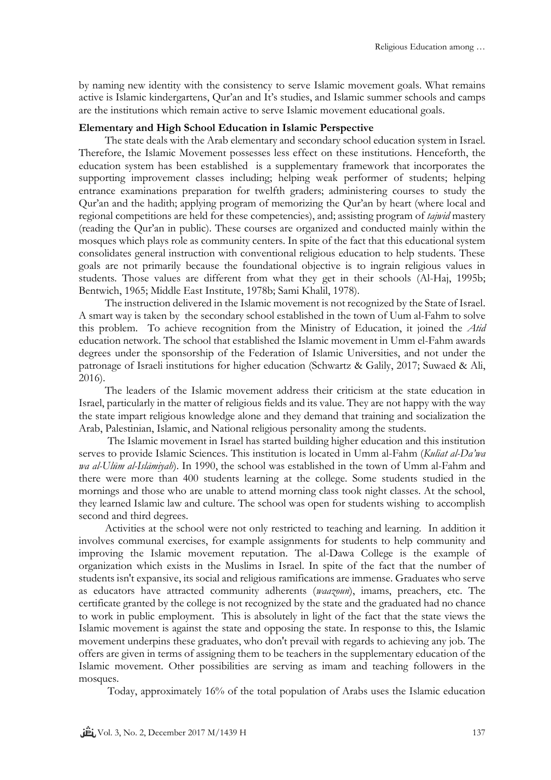by naming new identity with the consistency to serve Islamic movement goals. What remains active is Islamic kindergartens, Qur'an and It's studies, and Islamic summer schools and camps are the institutions which remain active to serve Islamic movement educational goals.

### **Elementary and High School Education in Islamic Perspective**

The state deals with the Arab elementary and secondary school education system in Israel. Therefore, the Islamic Movement possesses less effect on these institutions. Henceforth, the education system has been established is a supplementary framework that incorporates the supporting improvement classes including; helping weak performer of students; helping entrance examinations preparation for twelfth graders; administering courses to study the Qur'an and the hadith; applying program of memorizing the Qur'an by heart (where local and regional competitions are held for these competencies), and; assisting program of *tajwid* mastery (reading the Qur'an in public). These courses are organized and conducted mainly within the mosques which plays role as community centers. In spite of the fact that this educational system consolidates general instruction with conventional religious education to help students. These goals are not primarily because the foundational objective is to ingrain religious values in students. Those values are different from what they get in their schools (Al-Haj, 1995b; Bentwich, 1965; Middle East Institute, 1978b; Sami Khalil, 1978).

The instruction delivered in the Islamic movement is not recognized by the State of Israel. A smart way is taken by the secondary school established in the town of Uum al-Fahm to solve this problem. To achieve recognition from the Ministry of Education, it joined the *Atid* education network. The school that established the Islamic movement in Umm el-Fahm awards degrees under the sponsorship of the Federation of Islamic Universities, and not under the patronage of Israeli institutions for higher education (Schwartz & Galily, 2017; Suwaed & Ali, 2016).

The leaders of the Islamic movement address their criticism at the state education in Israel, particularly in the matter of religious fields and its value. They are not happy with the way the state impart religious knowledge alone and they demand that training and socialization the Arab, Palestinian, Islamic, and National religious personality among the students.

The Islamic movement in Israel has started building higher education and this institution serves to provide Islamic Sciences. This institution is located in Umm al-Fahm (*Kuliat al-Da'wa wa al-Ulūm al-Islāmiyah*). In 1990, the school was established in the town of Umm al-Fahm and there were more than 400 students learning at the college. Some students studied in the mornings and those who are unable to attend morning class took night classes. At the school, they learned Islamic law and culture. The school was open for students wishing to accomplish second and third degrees.

Activities at the school were not only restricted to teaching and learning. In addition it involves communal exercises, for example assignments for students to help community and improving the Islamic movement reputation. The al-Dawa College is the example of organization which exists in the Muslims in Israel. In spite of the fact that the number of students isn't expansive, its social and religious ramifications are immense. Graduates who serve as educators have attracted community adherents (*waazoun*), imams, preachers, etc. The certificate granted by the college is not recognized by the state and the graduated had no chance to work in public employment. This is absolutely in light of the fact that the state views the Islamic movement is against the state and opposing the state. In response to this, the Islamic movement underpins these graduates, who don't prevail with regards to achieving any job. The offers are given in terms of assigning them to be teachers in the supplementary education of the Islamic movement. Other possibilities are serving as imam and teaching followers in the mosques.

Today, approximately 16% of the total population of Arabs uses the Islamic education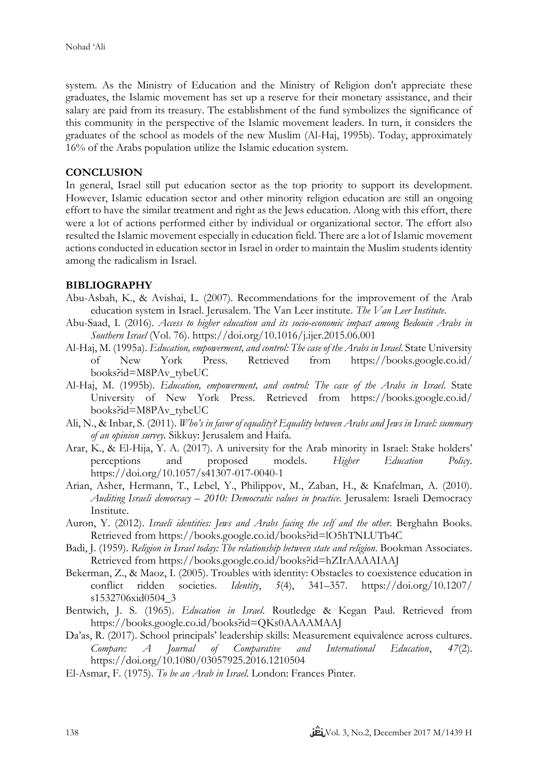system. As the Ministry of Education and the Ministry of Religion don't appreciate these graduates, the Islamic movement has set up a reserve for their monetary assistance, and their salary are paid from its treasury. The establishment of the fund symbolizes the significance of this community in the perspective of the Islamic movement leaders. In turn, it considers the graduates of the school as models of the new Muslim (Al-Haj, 1995b). Today, approximately 16% of the Arabs population utilize the Islamic education system.

## **CONCLUSION**

In general, Israel still put education sector as the top priority to support its development. However, Islamic education sector and other minority religion education are still an ongoing effort to have the similar treatment and right as the Jews education. Along with this effort, there were a lot of actions performed either by individual or organizational sector. The effort also resulted the Islamic movement especially in education field. There are a lot of Islamic movement actions conducted in education sector in Israel in order to maintain the Muslim students identity among the radicalism in Israel.

## **BIBLIOGRAPHY**

- Abu-Asbah, K., & Avishai, L. (2007). Recommendations for the improvement of the Arab education system in Israel. Jerusalem. The Van Leer institute. *The Van Leer Institute*.
- Abu-Saad, I. (2016). *Access to higher education and its socio-economic impact among Bedouin Arabs in Southern Israel* (Vol. 76). https://doi.org/10.1016/j.ijer.2015.06.001
- Al-Haj, M. (1995a). *Education, empowerment, and control: The case of the Arabs in Israel*. State University of New York Press. Retrieved from https://books.google.co.id/ books?id=M8PAv\_tybeUC
- Al-Haj, M. (1995b). *Education, empowerment, and control: The case of the Arabs in Israel*. State University of New York Press. Retrieved from https://books.google.co.id/ books?id=M8PAv\_tybeUC
- Ali, N., & Inbar, S. (2011). *Who's in favor of equality? Equality between Arabs and Jews in Israel: summary of an opinion survey.* Sikkuy: Jerusalem and Haifa.
- Arar, K., & El-Hija, Y. A. (2017). A university for the Arab minority in Israel: Stake holders' perceptions and proposed models. *Higher Education Policy*. https://doi.org/10.1057/s41307-017-0040-1
- Arian, Asher, Hermann, T., Lebel, Y., Philippov, M., Zaban, H., & Knafelman, A. (2010). *Auditing Israeli democracy – 2010: Democratic values in practice*. Jerusalem: Israeli Democracy Institute.
- Auron, Y. (2012). *Israeli identities: Jews and Arabs facing the self and the other*. Berghahn Books. Retrieved from https://books.google.co.id/books?id=lO5hTNLUTb4C
- Badi, J. (1959). *Religion in Israel today: The relationship between state and religion*. Bookman Associates. Retrieved from https://books.google.co.id/books?id=hZIrAAAAIAAJ
- Bekerman, Z., & Maoz, I. (2005). Troubles with identity: Obstacles to coexistence education in conflict ridden societies. *Identity*, *5*(4), 341–357. https://doi.org/10.1207/ s1532706xid0504\_3
- Bentwich, J. S. (1965). *Education in Israel*. Routledge & Kegan Paul. Retrieved from https://books.google.co.id/books?id=QKs0AAAAMAAJ
- Da'as, R. (2017). School principals' leadership skills: Measurement equivalence across cultures. *Compare: A Journal of Comparative and International Education*, *47*(2). https://doi.org/10.1080/03057925.2016.1210504
- El-Asmar, F. (1975). *To be an Arab in Israel*. London: Frances Pinter.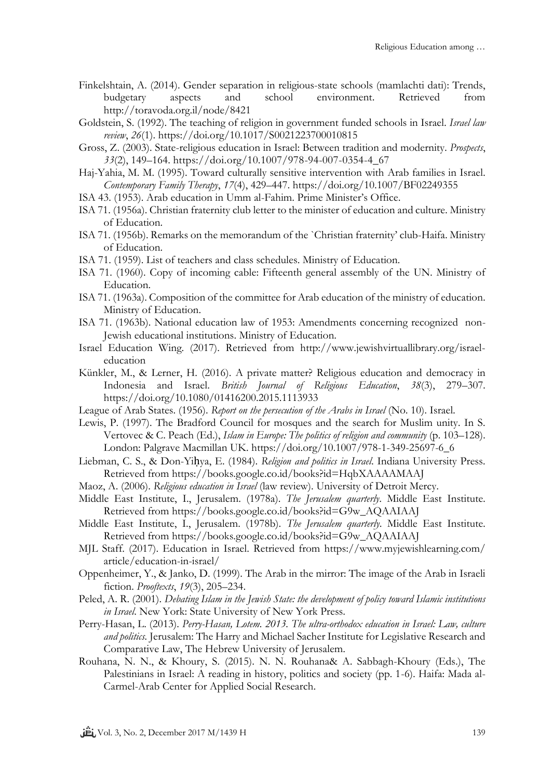- Finkelshtain, A. (2014). Gender separation in religious-state schools (mamlachti dati): Trends, budgetary aspects and school environment. Retrieved from http://toravoda.org.il/node/8421
- Goldstein, S. (1992). The teaching of religion in government funded schools in Israel. *Israel law review*, *26*(1). https://doi.org/10.1017/S0021223700010815
- Gross, Z. (2003). State-religious education in Israel: Between tradition and modernity. *Prospects*, *33*(2), 149–164. https://doi.org/10.1007/978-94-007-0354-4\_67
- Haj-Yahia, M. M. (1995). Toward culturally sensitive intervention with Arab families in Israel. *Contemporary Family Therapy*, *17*(4), 429–447. https://doi.org/10.1007/BF02249355
- ISA 43. (1953). Arab education in Umm al-Fahim. Prime Minister's Office.
- ISA 71. (1956a). Christian fraternity club letter to the minister of education and culture. Ministry of Education.
- ISA 71. (1956b). Remarks on the memorandum of the `Christian fraternity' club-Haifa. Ministry of Education.
- ISA 71. (1959). List of teachers and class schedules. Ministry of Education.
- ISA 71. (1960). Copy of incoming cable: Fifteenth general assembly of the UN. Ministry of Education.
- ISA 71. (1963a). Composition of the committee for Arab education of the ministry of education. Ministry of Education.
- ISA 71. (1963b). National education law of 1953: Amendments concerning recognized non-Jewish educational institutions. Ministry of Education.
- Israel Education Wing. (2017). Retrieved from http://www.jewishvirtuallibrary.org/israeleducation
- Künkler, M., & Lerner, H. (2016). A private matter? Religious education and democracy in Indonesia and Israel. *British Journal of Religious Education*, *38*(3), 279–307. https://doi.org/10.1080/01416200.2015.1113933
- League of Arab States. (1956). *Report on the persecution of the Arabs in Israel* (No. 10). Israel.
- Lewis, P. (1997). The Bradford Council for mosques and the search for Muslim unity. In S. Vertovec & C. Peach (Ed.), *Islam in Europe: The politics of religion and community* (p. 103–128). London: Palgrave Macmillan UK. https://doi.org/10.1007/978-1-349-25697-6\_6
- Liebman, C. S., & Don-Yiḥya, E. (1984). *Religion and politics in Israel*. Indiana University Press. Retrieved from https://books.google.co.id/books?id=HqbXAAAAMAAJ
- Maoz, A. (2006). *Religious education in Israel* (law review). University of Detroit Mercy.
- Middle East Institute, I., Jerusalem. (1978a). *The Jerusalem quarterly*. Middle East Institute. Retrieved from https://books.google.co.id/books?id=G9w\_AQAAIAAJ
- Middle East Institute, I., Jerusalem. (1978b). *The Jerusalem quarterly*. Middle East Institute. Retrieved from https://books.google.co.id/books?id=G9w\_AQAAIAAJ
- MJL Staff. (2017). Education in Israel. Retrieved from https://www.myjewishlearning.com/ article/education-in-israel/
- Oppenheimer, Y., & Janko, D. (1999). The Arab in the mirror: The image of the Arab in Israeli fiction. *Prooftexts*, *19*(3), 205–234.
- Peled, A. R. (2001). *Debating Islam in the Jewish State: the development of policy toward Islamic institutions in Israel*. New York: State University of New York Press.
- Perry-Hasan, L. (2013). *Perry-Hasan, Lotem. 2013. The ultra-orthodox education in Israel: Law, culture and politics.* Jerusalem: The Harry and Michael Sacher Institute for Legislative Research and Comparative Law, The Hebrew University of Jerusalem.
- Rouhana, N. N., & Khoury, S. (2015). N. N. Rouhana& A. Sabbagh-Khoury (Eds.), The Palestinians in Israel: A reading in history, politics and society (pp. 1-6). Haifa: Mada al-Carmel-Arab Center for Applied Social Research.